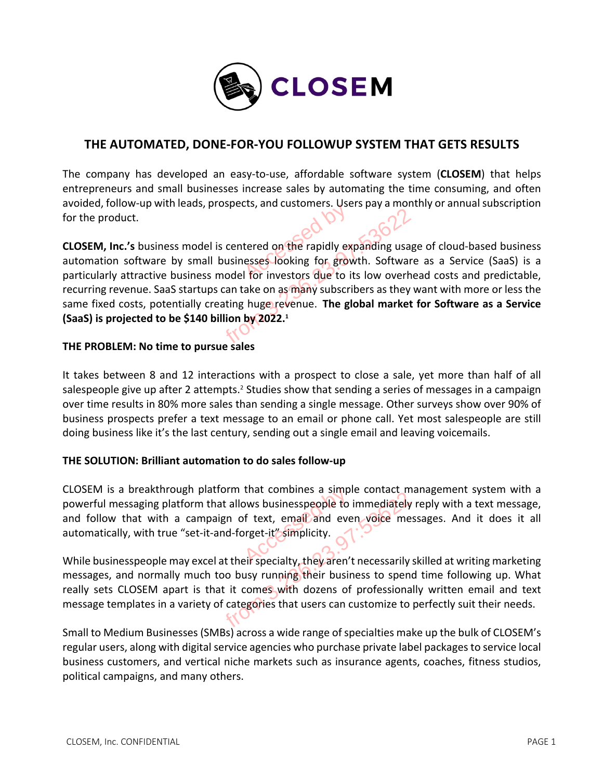

# **THE AUTOMATED, DONE-FOR-YOU FOLLOWUP SYSTEM THAT GETS RESULTS**

The company has developed an easy-to-use, affordable software system (**CLOSEM**) that helps entrepreneurs and small businesses increase sales by automating the time consuming, and often avoided, follow-up with leads, prospects, and customers. Users pay a monthly or annual subscription for the product.

**CLOSEM, Inc.'s** business model is centered on the rapidly expanding usage of cloud-based business automation software by small businesses looking for growth. Software as a Service (SaaS) is a particularly attractive business model for investors due to its low overhead costs and predictable, recurring revenue. SaaS startups can take on as many subscribers as they want with more or less the same fixed costs, potentially creating huge revenue. **The global market for Software as a Service (SaaS) is projected to be \$140 billion by 2022.1** External customers. Ose<br>tered on the rapidly exerses looking for grow<br>I for investors due to i From 3.236.23.97:33.97:33.97:33.97:33.97:33.97:33.97:33.97:33.97:33.97:33.97:336.97:33.97:33.97:33.97:33.97:33<br>Proposition 3.23.97:336.97:336.97:336.97:33.97:33.97:336.97:33.97:336.97:336.97:336.97:336.97:336.97:336.97:33<br>

## **THE PROBLEM: No time to pursue sales**

It takes between 8 and 12 interactions with a prospect to close a sale, yet more than half of all salespeople give up after 2 attempts.<sup>2</sup> Studies show that sending a series of messages in a campaign over time results in 80% more sales than sending a single message. Other surveys show over 90% of business prospects prefer a text message to an email or phone call. Yet most salespeople are still doing business like it's the last century, sending out a single email and leaving voicemails.

## **THE SOLUTION: Brilliant automation to do sales follow-up**

CLOSEM is a breakthrough platform that combines a simple contact management system with a powerful messaging platform that allows businesspeople to immediately reply with a text message, and follow that with a campaign of text, email and even voice messages. And it does it all automatically, with true "set-it-and-forget-it" simplicity. that combines a simple<br>by businesspeople to<br>f text, email and every left-it simplicity.

While businesspeople may excel at their specialty, they aren't necessarily skilled at writing marketing messages, and normally much too busy running their business to spend time following up. What really sets CLOSEM apart is that it comes with dozens of professionally written email and text message templates in a variety of categories that users can customize to perfectly suit their needs. From that allows businesspeople to immediately<br>ampaign of text, email and even voice meet-it-and-forget-it" simplicity.<br>excel at their specialty, they aren't necessarily<br>nuch too busy running their business to spen<br>is that

Small to Medium Businesses (SMBs) across a wide range of specialties make up the bulk of CLOSEM's regular users, along with digital service agencies who purchase private label packages to service local business customers, and vertical niche markets such as insurance agents, coaches, fitness studios, political campaigns, and many others.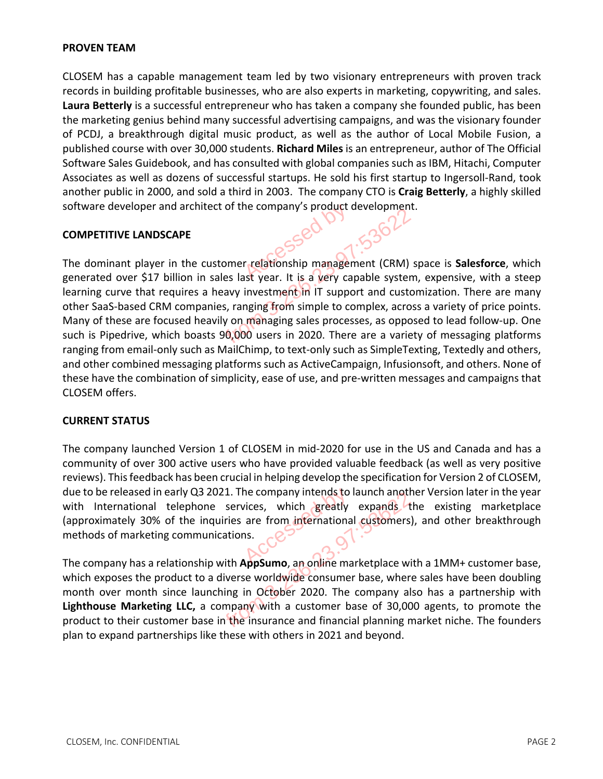### **PROVEN TEAM**

CLOSEM has a capable management team led by two visionary entrepreneurs with proven track records in building profitable businesses, who are also experts in marketing, copywriting, and sales. **Laura Betterly** is a successful entrepreneur who has taken a company she founded public, has been the marketing genius behind many successful advertising campaigns, and was the visionary founder of PCDJ, a breakthrough digital music product, as well as the author of Local Mobile Fusion, a published course with over 30,000 students. **Richard Miles** is an entrepreneur, author of The Official Software Sales Guidebook, and has consulted with global companies such as IBM, Hitachi, Computer Associates as well as dozens of successful startups. He sold his first startup to Ingersoll-Rand, took another public in 2000, and sold a third in 2003. The company CTO is **Craig Betterly**, a highly skilled software developer and architect of the company's product development.

### **COMPETITIVE LANDSCAPE**

The dominant player in the customer relationship management (CRM) space is **Salesforce**, which generated over \$17 billion in sales last year. It is a very capable system, expensive, with a steep learning curve that requires a heavy investment in IT support and customization. There are many other SaaS-based CRM companies, ranging from simple to complex, across a variety of price points. Many of these are focused heavily on managing sales processes, as opposed to lead follow-up. One such is Pipedrive, which boasts 90,000 users in 2020. There are a variety of messaging platforms ranging from email-only such as MailChimp, to text-only such as SimpleTexting, Textedly and others, and other combined messaging platforms such as ActiveCampaign, Infusionsoft, and others. None of these have the combination of simplicity, ease of use, and pre-written messages and campaigns that CLOSEM offers. he company's product of<br>
relationship manager<br>
ast year. It is a very ca From 2.236.23.97.<br>The customer relationship management (CRM) is<br>in sales last year. It is a very capable system<br>es a heavy investment in IT support and custo<br>mpanies, ranging from simple to complex, acros<br>heavily on managi

## **CURRENT STATUS**

The company launched Version 1 of CLOSEM in mid-2020 for use in the US and Canada and has a community of over 300 active users who have provided valuable feedback (as well as very positive reviews). This feedback has been crucial in helping develop the specification for Version 2 of CLOSEM, due to be released in early Q3 2021. The company intends to launch another Version later in the year with International telephone services, which greatly expands the existing marketplace (approximately 30% of the inquiries are from international customers), and other breakthrough methods of marketing communications. the company intends to<br>vices, which greatly<br>are from internationals.

The company has a relationship with **AppSumo**, an online marketplace with a 1MM+ customer base, which exposes the product to a diverse worldwide consumer base, where sales have been doubling month over month since launching in October 2020. The company also has a partnership with **Lighthouse Marketing LLC,** a company with a customer base of 30,000 agents, to promote the product to their customer base in the insurance and financial planning market niche. The founders plan to expand partnerships like these with others in 2021 and beyond. Qs 2021. The company intends to launch and thone<br>
inquiries are from international customers<br>
imunications.<br>
Solutions in the property of the marketplace wiston<br>
is to a diverse worldwide consumer base, where<br>
launching in